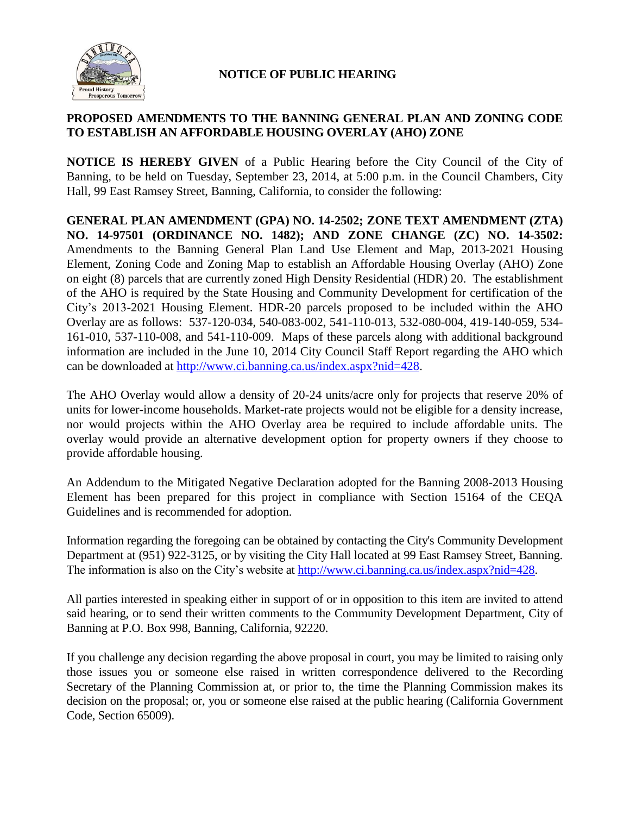

## **NOTICE OF PUBLIC HEARING**

## **PROPOSED AMENDMENTS TO THE BANNING GENERAL PLAN AND ZONING CODE TO ESTABLISH AN AFFORDABLE HOUSING OVERLAY (AHO) ZONE**

**NOTICE IS HEREBY GIVEN** of a Public Hearing before the City Council of the City of Banning, to be held on Tuesday, September 23, 2014, at 5:00 p.m. in the Council Chambers, City Hall, 99 East Ramsey Street, Banning, California, to consider the following:

**GENERAL PLAN AMENDMENT (GPA) NO. 14-2502; ZONE TEXT AMENDMENT (ZTA) NO. 14-97501 (ORDINANCE NO. 1482); AND ZONE CHANGE (ZC) NO. 14-3502:** Amendments to the Banning General Plan Land Use Element and Map, 2013-2021 Housing Element, Zoning Code and Zoning Map to establish an Affordable Housing Overlay (AHO) Zone on eight (8) parcels that are currently zoned High Density Residential (HDR) 20. The establishment of the AHO is required by the State Housing and Community Development for certification of the City's 2013-2021 Housing Element. HDR-20 parcels proposed to be included within the AHO Overlay are as follows: 537-120-034, 540-083-002, 541-110-013, 532-080-004, 419-140-059, 534- 161-010, 537-110-008, and 541-110-009. Maps of these parcels along with additional background information are included in the June 10, 2014 City Council Staff Report regarding the AHO which can be downloaded at [http://www.ci.banning.ca.us/index.aspx?nid=428.](http://www.ci.banning.ca.us/index.aspx?nid=428)

The AHO Overlay would allow a density of 20-24 units/acre only for projects that reserve 20% of units for lower-income households. Market-rate projects would not be eligible for a density increase, nor would projects within the AHO Overlay area be required to include affordable units. The overlay would provide an alternative development option for property owners if they choose to provide affordable housing.

An Addendum to the Mitigated Negative Declaration adopted for the Banning 2008-2013 Housing Element has been prepared for this project in compliance with Section 15164 of the CEQA Guidelines and is recommended for adoption.

Information regarding the foregoing can be obtained by contacting the City's Community Development Department at (951) 922-3125, or by visiting the City Hall located at 99 East Ramsey Street, Banning. The information is also on the City's website at [http://www.ci.banning.ca.us/index.aspx?nid=428.](http://www.ci.banning.ca.us/index.aspx?nid=428)

All parties interested in speaking either in support of or in opposition to this item are invited to attend said hearing, or to send their written comments to the Community Development Department, City of Banning at P.O. Box 998, Banning, California, 92220.

If you challenge any decision regarding the above proposal in court, you may be limited to raising only those issues you or someone else raised in written correspondence delivered to the Recording Secretary of the Planning Commission at, or prior to, the time the Planning Commission makes its decision on the proposal; or, you or someone else raised at the public hearing (California Government Code, Section 65009).